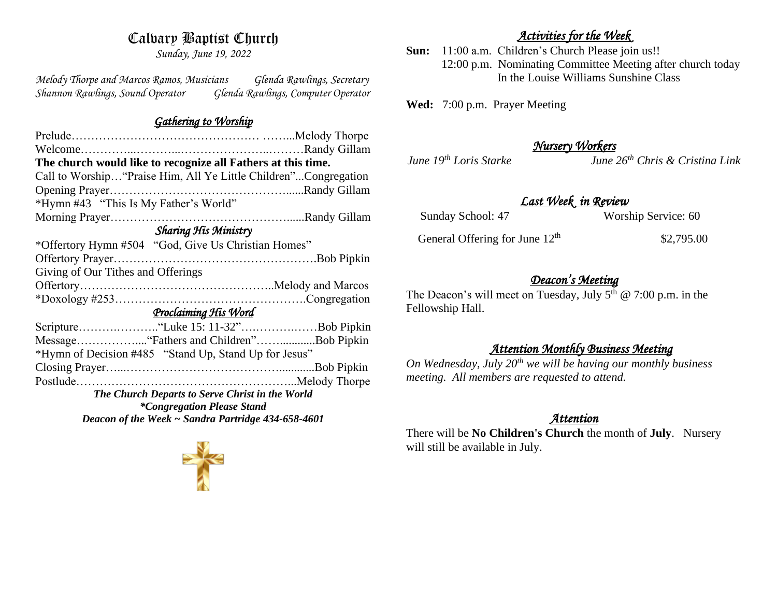# Calvary Baptist Church

*Sunday, June 19, 2022*

*Melody Thorpe and Marcos Ramos, Musicians Glenda Rawlings, Secretary Shannon Rawlings, Sound Operator Glenda Rawlings, Computer Operator* 

### *Gathering to Worship*

| The church would like to recognize all Fathers at this time.     |  |
|------------------------------------------------------------------|--|
| Call to Worship "Praise Him, All Ye Little Children"Congregation |  |
|                                                                  |  |
| *Hymn #43 "This Is My Father's World"                            |  |
|                                                                  |  |
| <b>Sharing His Ministry</b>                                      |  |
| *Offertory Hymn #504 "God, Give Us Christian Homes"              |  |
|                                                                  |  |
| Giving of Our Tithes and Offerings                               |  |
|                                                                  |  |
|                                                                  |  |
| Proclaiming His Word                                             |  |
|                                                                  |  |
|                                                                  |  |
| *Hymn of Decision #485 "Stand Up, Stand Up for Jesus"            |  |
|                                                                  |  |
|                                                                  |  |
| The Church Departs to Serve Christ in the World                  |  |
| <i>*Congregation Please Stand</i>                                |  |
| Deacon of the Week ~ Sandra Partridge 434-658-4601               |  |

#### *Activities for the Week*

**Sun:** 11:00 a.m. Children's Church Please join us!! 12:00 p.m. Nominating Committee Meeting after church today In the Louise Williams Sunshine Class

**Wed:** 7:00 p.m. Prayer Meeting

### *Nursery Workers*

*June 19th Loris Starke June 26th Chris & Cristina Link* 

### *Last Week in Review*

| Sunday School: 47                          | Worship Service: 60 |
|--------------------------------------------|---------------------|
| General Offering for June 12 <sup>th</sup> | \$2,795.00          |

#### *Deacon's Meeting*

The Deacon's will meet on Tuesday, July  $5<sup>th</sup>$  @ 7:00 p.m. in the Fellowship Hall.

#### *Attention Monthly Business Meeting*

*On Wednesday, July 20th we will be having our monthly business meeting. All members are requested to attend.* 

#### *Attention*

There will be **No Children's Church** the month of **July**. Nursery will still be available in July.

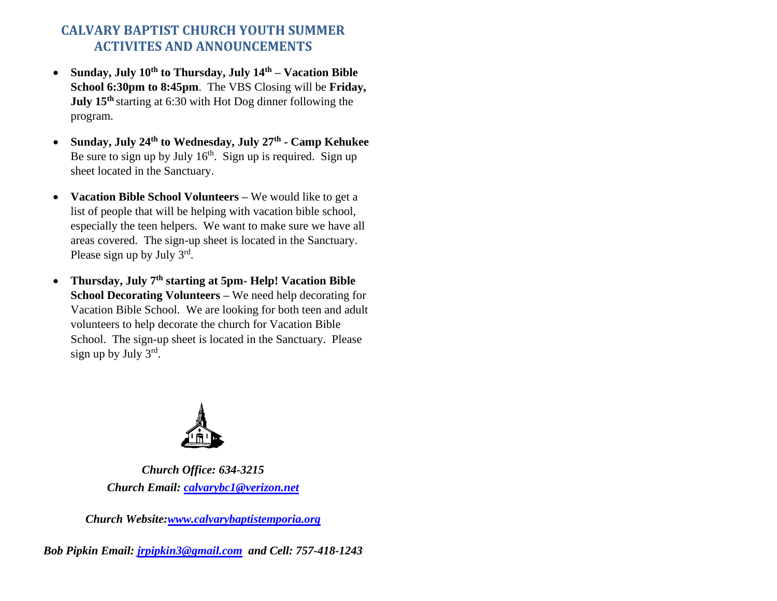## **CALVARY BAPTIST CHURCH YOUTH SUMMER ACTIVITES AND ANNOUNCEMENTS**

- **Sunday, July 10th to Thursday, July 14th – Vacation Bible School 6:30pm to 8:45pm**. The VBS Closing will be **Friday, July 15th** starting at 6:30 with Hot Dog dinner following the program.
- **Sunday, July 24th to Wednesday, July 27th - Camp Kehukee** Be sure to sign up by July  $16<sup>th</sup>$ . Sign up is required. Sign up sheet located in the Sanctuary.
- **Vacation Bible School Volunteers –** We would like to get a list of people that will be helping with vacation bible school, especially the teen helpers. We want to make sure we have all areas covered. The sign-up sheet is located in the Sanctuary. Please sign up by July  $3^{rd}$ .
- **Thursday, July 7th starting at 5pm- Help! Vacation Bible School Decorating Volunteers –** We need help decorating for Vacation Bible School. We are looking for both teen and adult volunteers to help decorate the church for Vacation Bible School. The sign-up sheet is located in the Sanctuary. Please sign up by July 3rd.



*Church Office: 634-3215 Church Email: [calvarybc1@verizon.net](mailto:cbcemporiaoffice@gmail.com)*

*Church Website[:www.calvarybaptistemporia.org](http://www.calvarybaptistemporia.org/)*

*Bob Pipkin Email: [jrpipkin3@gmail.com](mailto:jrpipkin3@gmail.com) and Cell: 757-418-1243*